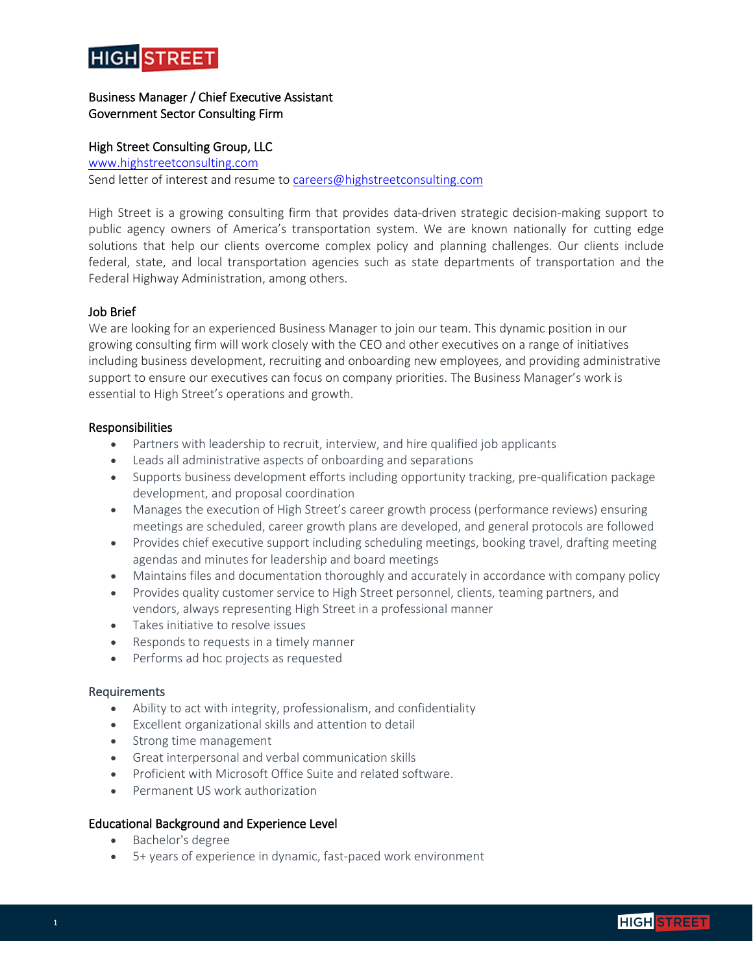

# Business Manager / Chief Executive Assistant Government Sector Consulting Firm

## High Street Consulting Group, LLC

[www.highstreetconsulting.com](http://www.highstreetconsulting.com/) Send letter of interest and resume to [careers@highstreetconsulting.com](mailto:careers@highstreetconsulting.com)

High Street is a growing consulting firm that provides data-driven strategic decision-making support to public agency owners of America's transportation system. We are known nationally for cutting edge solutions that help our clients overcome complex policy and planning challenges. Our clients include federal, state, and local transportation agencies such as state departments of transportation and the Federal Highway Administration, among others.

## Job Brief

We are looking for an experienced Business Manager to join our team. This dynamic position in our growing consulting firm will work closely with the CEO and other executives on a range of initiatives including business development, recruiting and onboarding new employees, and providing administrative support to ensure our executives can focus on company priorities. The Business Manager's work is essential to High Street's operations and growth.

### Responsibilities

- Partners with leadership to recruit, interview, and hire qualified job applicants
- Leads all administrative aspects of onboarding and separations
- Supports business development efforts including opportunity tracking, pre-qualification package development, and proposal coordination
- Manages the execution of High Street's career growth process (performance reviews) ensuring meetings are scheduled, career growth plans are developed, and general protocols are followed
- Provides chief executive support including scheduling meetings, booking travel, drafting meeting agendas and minutes for leadership and board meetings
- Maintains files and documentation thoroughly and accurately in accordance with company policy
- Provides quality customer service to High Street personnel, clients, teaming partners, and vendors, always representing High Street in a professional manner
- Takes initiative to resolve issues
- Responds to requests in a timely manner
- Performs ad hoc projects as requested

### Requirements

- Ability to act with integrity, professionalism, and confidentiality
- Excellent organizational skills and attention to detail
- Strong time management
- Great interpersonal and verbal communication skills
- Proficient with Microsoft Office Suite and related software.
- Permanent US work authorization

### Educational Background and Experience Level

- Bachelor's degree
- 5+ years of experience in dynamic, fast-paced work environment